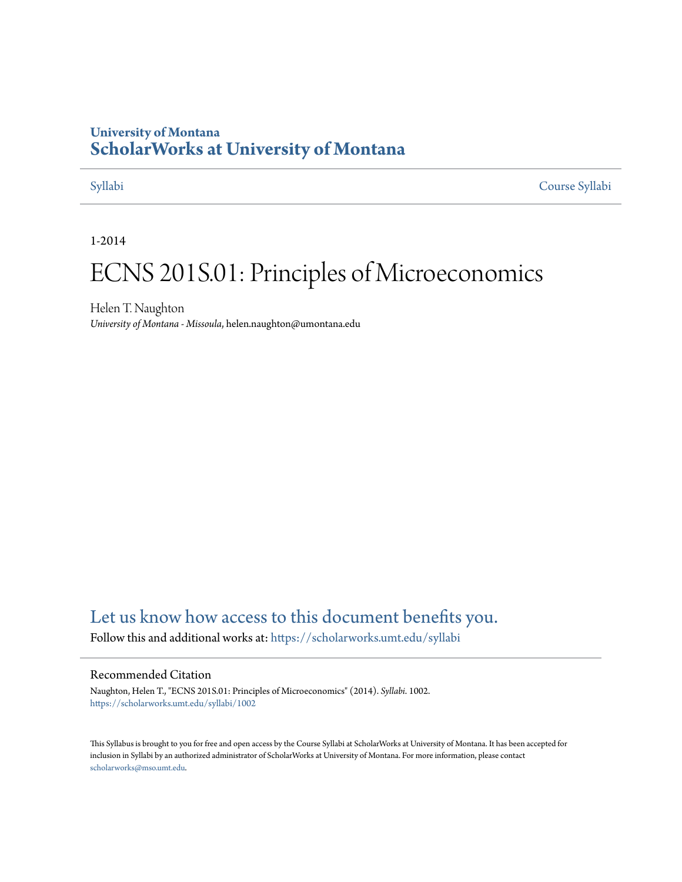## **University of Montana [ScholarWorks at University of Montana](https://scholarworks.umt.edu?utm_source=scholarworks.umt.edu%2Fsyllabi%2F1002&utm_medium=PDF&utm_campaign=PDFCoverPages)**

[Syllabi](https://scholarworks.umt.edu/syllabi?utm_source=scholarworks.umt.edu%2Fsyllabi%2F1002&utm_medium=PDF&utm_campaign=PDFCoverPages) [Course Syllabi](https://scholarworks.umt.edu/course_syllabi?utm_source=scholarworks.umt.edu%2Fsyllabi%2F1002&utm_medium=PDF&utm_campaign=PDFCoverPages)

1-2014

# ECNS 201S.01: Principles of Microeconomics

Helen T. Naughton *University of Montana - Missoula*, helen.naughton@umontana.edu

# [Let us know how access to this document benefits you.](https://goo.gl/forms/s2rGfXOLzz71qgsB2)

Follow this and additional works at: [https://scholarworks.umt.edu/syllabi](https://scholarworks.umt.edu/syllabi?utm_source=scholarworks.umt.edu%2Fsyllabi%2F1002&utm_medium=PDF&utm_campaign=PDFCoverPages)

#### Recommended Citation

Naughton, Helen T., "ECNS 201S.01: Principles of Microeconomics" (2014). *Syllabi*. 1002. [https://scholarworks.umt.edu/syllabi/1002](https://scholarworks.umt.edu/syllabi/1002?utm_source=scholarworks.umt.edu%2Fsyllabi%2F1002&utm_medium=PDF&utm_campaign=PDFCoverPages)

This Syllabus is brought to you for free and open access by the Course Syllabi at ScholarWorks at University of Montana. It has been accepted for inclusion in Syllabi by an authorized administrator of ScholarWorks at University of Montana. For more information, please contact [scholarworks@mso.umt.edu](mailto:scholarworks@mso.umt.edu).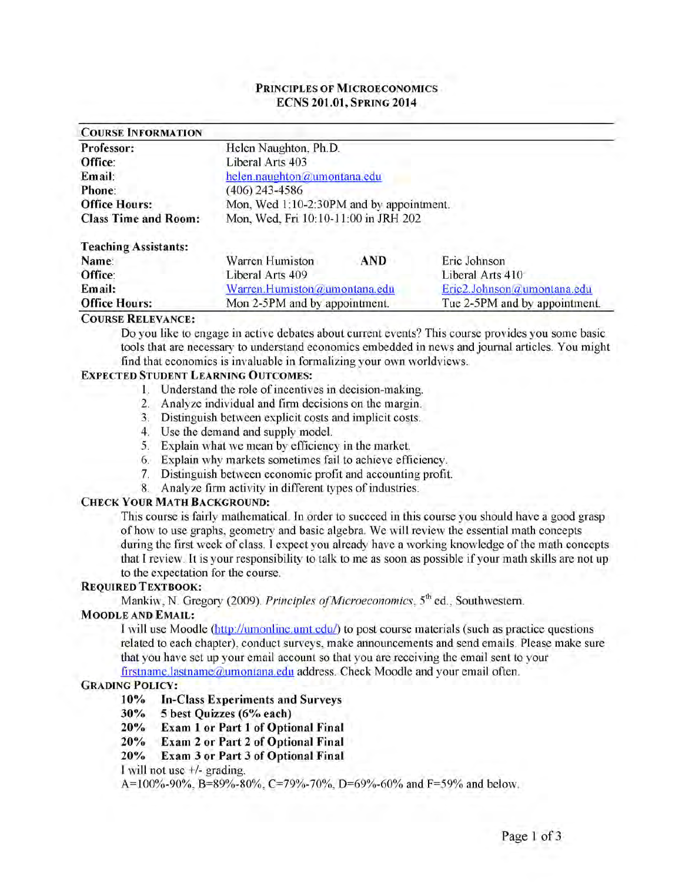#### **PRINCIPLES OF MICROECONOMICS ECNS 201.01, SPRING 2014**

| <b>COURSE INFORMATION</b>   |                                          |     |                  |  |
|-----------------------------|------------------------------------------|-----|------------------|--|
| Professor:                  | Helen Naughton, Ph.D.                    |     |                  |  |
| Office:                     | Liberal Arts 403                         |     |                  |  |
| Email:                      | helen.naughton@umontana.edu              |     |                  |  |
| Phone:                      | (406) 243-4586                           |     |                  |  |
| <b>Office Hours:</b>        | Mon, Wed 1:10-2:30PM and by appointment. |     |                  |  |
| <b>Class Time and Room:</b> | Mon, Wed, Fri 10:10-11:00 in JRH 202     |     |                  |  |
| <b>Teaching Assistants:</b> |                                          |     |                  |  |
| Name:                       | Warren Humiston                          | AND | Eric Johnson     |  |
| Office:                     | Liberal Arts 409                         |     | Liberal Arts 410 |  |

# **Email:** W arren.Humiston@umontana.edu Eric2.Johnson@umontana.edu **Office Hours:** Mon 2-5PM and by appointment. Tue 2-5PM and by appointment.

#### $C$  **OURSE RELEVANCE**:

Do you like to engage in active debates about current events? This course provides you some basic tools that are necessary to understand economics embedded in news and journal articles. You might find that economics is invaluable in formalizing your own worldviews.

#### **EXPECTED STUDENT LEARNING OUTCOMES:**

- 1. Understand the role of incentives in decision-making.
- 2. Analyze individual and firm decisions on the margin.
- 3. Distinguish between explicit costs and implicit costs.
- 4. Use the demand and supply model.
- 5. Explain what we mean by efficiency in the market.
- 6. Explain why markets sometimes fail to achieve efficiency.
- 7. Distinguish between economic profit and accounting profit.
- 8. Analyze firm activity in different types of industries.

#### **CHECK YOUR MATH BACKGROUND:**

This course is fairly mathematical. In order to succeed in this course you should have a good grasp of how to use graphs, geometry and basic algebra. We will review the essential math concepts during the first week of class. I expect you already have a working knowledge of the math concepts that I review. It is your responsibility to talk to me as soon as possible if your math skills are not up to the expectation for the course.

#### **REQUIRED TEXTBOOK:**

Mankiw, N. Gregory (2009). Principles of Microeconomics, 5<sup>th</sup> ed., Southwestern.

### **MOODLE AND EMAIL:**

I will use Moodle (http://umonline.umt.edu/) to post course materials (such as practice questions related to each chapter), conduct surveys, make announcements and send emails. Please make sure that you have set up your email account so that you are receiving the email sent to your firstname.lastname@umontana.edu address. Check Moodle and your email often.

#### **GRADING POLICY:**

**10% In-Class Experiments and Surveys**

**30% 5 best Quizzes (6% each)**

**20% Exam 1 or Part 1 of Optional Final**

**20% Exam 2 or Part 2 of Optional Final**

**20% Exam 3 or Part 3 of Optional Final**

I will not use +/- grading.

A=100%-90%, B=89%-80%, C=79%-70%, D=69%-60% and F=59% and below.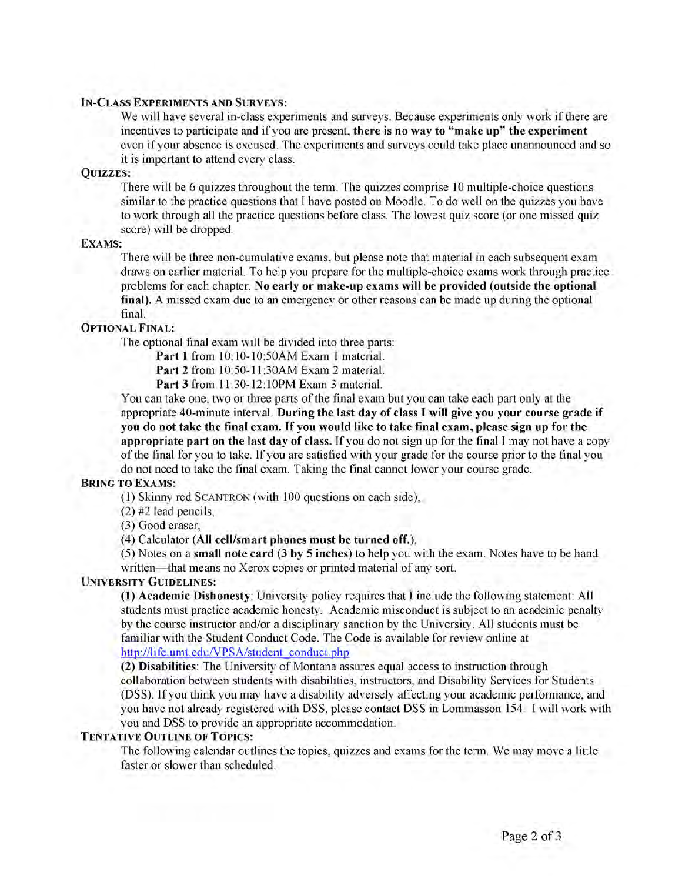#### **I n -C l a s s E x p e r i m e n t s a n d Su r v e y s :**

We will have several in-class experiments and surveys. Because experiments only work if there are incentives to participate and if you are present, **there is no way to "make up" the experiment** even if your absence is excused. The experiments and surveys could take place unannounced and so it is important to attend every class.

#### **Q u i z z e s :**

There will be 6 quizzes throughout the term. The quizzes comprise 10 multiple-choice questions similar to the practice questions that I have posted on Moodle. To do well on the quizzes you have to work through all the practice questions before class. The lowest quiz score (or one missed quiz score) will be dropped.

#### **EXAMS**:

There will be three non-cumulative exams, but please note that material in each subsequent exam draws on earlier material. To help you prepare for the multiple-choice exams work through practice problems for each chapter. **No early or make-up exams will be provided (outside the optional** final). A missed exam due to an emergency or other reasons can be made up during the optional final.

#### **OPTIONAL FINAL:**

The optional final exam will be divided into three parts:

**Part 1** from 10:10-10:50AM Exam 1 material.

**Part 2** from 10:50-11:30AM Exam 2 material.

**Part 3** from 11:30-12:10PM Exam 3 material.

You can take one, two or three parts of the final exam but you can take each part only at the appropriate 40-minute interval. **During the last day of class I will give you your course grade if you do not take the final exam. If you would like to take final exam, please sign up for the appropriate part on the last day of class.** If you do not sign up for the final I may not have a copy of the final for you to take. If you are satisfied with your grade for the course prior to the final you do not need to take the final exam. Taking the final cannot lower your course grade.

#### **BRING TO EXAMS:**

(1) Skinny red SCANTRON (with 100 questions on each side),

(2) #2 lead pencils,

(3) Good eraser,

(4) Calculator **(All cell/smart phones must be turned off.),**

(5) Notes on a **small note card (3 by 5 inches)** to help you with the exam. Notes have to be hand written—that means no Xerox copies or printed material of any sort.

#### **UNIVERSITY GUIDELINES:**

**(1) Academic Dishonesty:** University policy requires that I include the following statement: All students must practice academic honesty. Academic misconduct is subject to an academic penalty by the course instructor and/or a disciplinary sanction by the University. All students must be familiar with the Student Conduct Code. The Code is available for review online at http://life.umt.edu/VPSA/student conduct.php

**(2) Disabilities:** The University of Montana assures equal access to instruction through collaboration between students with disabilities, instructors, and Disability Services for Students (DSS). If you think you may have a disability adversely affecting your academic performance, and you have not already registered with DSS, please contact DSS in Lommasson 154. I will work with you and DSS to provide an appropriate accommodation.

#### **TENTATIVE OUTLINE OF TOPICS:**

The following calendar outlines the topics, quizzes and exams for the term. We may move a little faster or slower than scheduled.